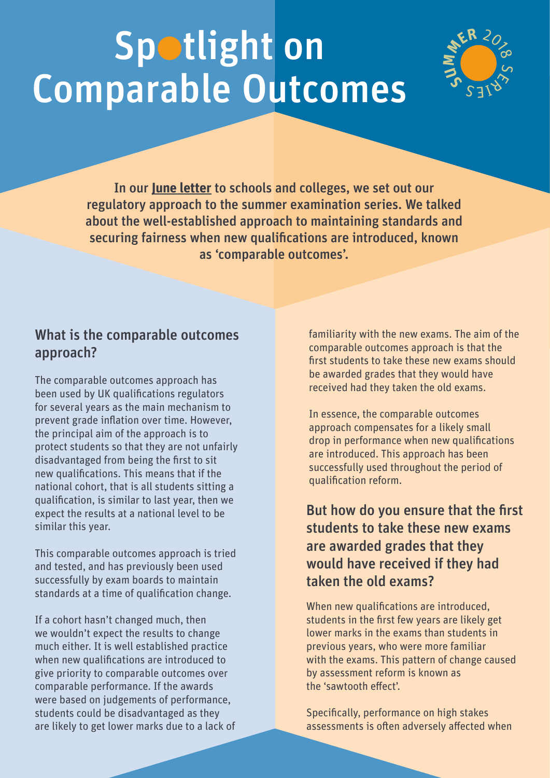# Spotlight on Comparable Outcomes



In our **[June letter](file:http://qualificationswales.org/english/publications/letter-to-centres-260618/)** to schools and colleges, we set out our regulatory approach to the summer examination series. We talked about the well-established approach to maintaining standards and securing fairness when new qualifications are introduced, known as 'comparable outcomes'.

#### What is the comparable outcomes approach?

The comparable outcomes approach has been used by UK qualifications regulators for several years as the main mechanism to prevent grade inflation over time. However, the principal aim of the approach is to protect students so that they are not unfairly disadvantaged from being the first to sit new qualifications. This means that if the national cohort, that is all students sitting a qualification, is similar to last year, then we expect the results at a national level to be similar this year.

This comparable outcomes approach is tried and tested, and has previously been used successfully by exam boards to maintain standards at a time of qualification change.

If a cohort hasn't changed much, then we wouldn't expect the results to change much either. It is well established practice when new qualifications are introduced to give priority to comparable outcomes over comparable performance. If the awards were based on judgements of performance, students could be disadvantaged as they are likely to get lower marks due to a lack of

familiarity with the new exams. The aim of the comparable outcomes approach is that the first students to take these new exams should be awarded grades that they would have received had they taken the old exams.

In essence, the comparable outcomes approach compensates for a likely small drop in performance when new qualifications are introduced. This approach has been successfully used throughout the period of qualification reform.

### But how do you ensure that the first students to take these new exams are awarded grades that they would have received if they had taken the old exams?

When new qualifications are introduced, students in the first few years are likely get lower marks in the exams than students in previous years, who were more familiar with the exams. This pattern of change caused by assessment reform is known as the 'sawtooth effect'.

Specifically, performance on high stakes assessments is often adversely affected when